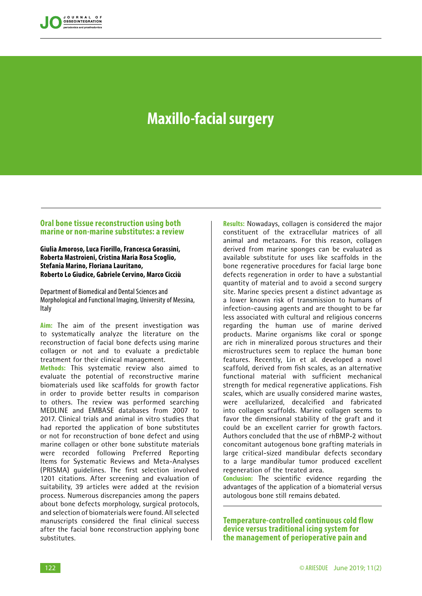

# **Maxillo-facial surgery**

# **Oral bone tissue reconstruction using both marine or non-marine substitutes: a review**

## **Giulia Amoroso, Luca Fiorillo, Francesca Gorassini, Roberta Mastroieni, Cristina Maria Rosa Scoglio, Stefania Marino, Floriana Lauritano, Roberto Lo Giudice, Gabriele Cervino, Marco Cicciù**

Department of Biomedical and Dental Sciences and Morphological and Functional Imaging, University of Messina, Italy

**Aim:** The aim of the present investigation was to systematically analyze the literature on the reconstruction of facial bone defects using marine collagen or not and to evaluate a predictable treatment for their clinical management.

**Methods:** This systematic review also aimed to evaluate the potential of reconstructive marine biomaterials used like scaffolds for growth factor in order to provide better results in comparison to others. The review was performed searching MEDLINE and EMBASE databases from 2007 to 2017. Clinical trials and animal in vitro studies that had reported the application of bone substitutes or not for reconstruction of bone defect and using marine collagen or other bone substitute materials were recorded following Preferred Reporting Items for Systematic Reviews and Meta-Analyses (PRISMA) guidelines. The first selection involved 1201 citations. After screening and evaluation of suitability, 39 articles were added at the revision process. Numerous discrepancies among the papers about bone defects morphology, surgical protocols, and selection of biomaterials were found. All selected manuscripts considered the final clinical success after the facial bone reconstruction applying bone substitutes.

**Results:** Nowadays, collagen is considered the major constituent of the extracellular matrices of all animal and metazoans. For this reason, collagen derived from marine sponges can be evaluated as available substitute for uses like scaffolds in the bone regenerative procedures for facial large bone defects regeneration in order to have a substantial quantity of material and to avoid a second surgery site. Marine species present a distinct advantage as a lower known risk of transmission to humans of infection-causing agents and are thought to be far less associated with cultural and religious concerns regarding the human use of marine derived products. Marine organisms like coral or sponge are rich in mineralized porous structures and their microstructures seem to replace the human bone features. Recently, Lin et al. developed a novel scaffold, derived from fish scales, as an alternative functional material with sufficient mechanical strength for medical regenerative applications. Fish scales, which are usually considered marine wastes, were acellularized, decalcified and fabricated into collagen scaffolds. Marine collagen seems to favor the dimensional stability of the graft and it could be an excellent carrier for growth factors. Authors concluded that the use of rhBMP-2 without concomitant autogenous bone grafting materials in large critical-sized mandibular defects secondary to a large mandibular tumor produced excellent regeneration of the treated area.

**Conclusion:** The scientific evidence regarding the advantages of the application of a biomaterial versus autologous bone still remains debated.

**Temperature-controlled continuous cold flow device versus traditional icing system for the management of perioperative pain and**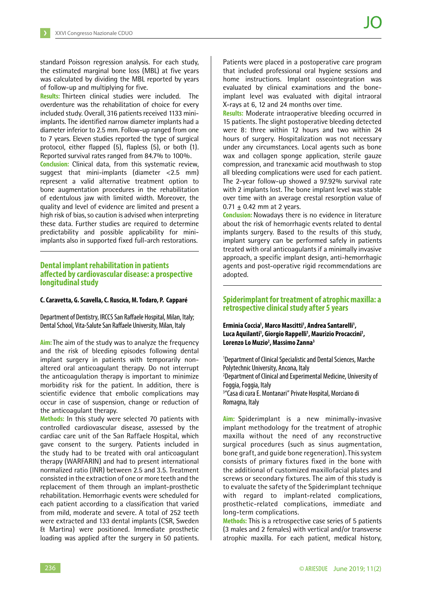standard Poisson regression analysis. For each study, the estimated marginal bone loss (MBL) at five years was calculated by dividing the MBL reported by years of follow-up and multiplying for five.

**Results:** Thirteen clinical studies were included. The overdenture was the rehabilitation of choice for every included study. Overall, 316 patients received 1133 miniimplants. The identified narrow diameter implants had a diameter inferior to 2.5 mm. Follow-up ranged from one to 7 years. Eleven studies reported the type of surgical protocol, either flapped (5), flapless (5), or both (1). Reported survival rates ranged from 84.7% to 100%.

**Conclusion:** Clinical data, from this systematic review, suggest that mini-implants (diameter <2.5 mm) represent a valid alternative treatment option to bone augmentation procedures in the rehabilitation of edentulous jaw with limited width. Moreover, the quality and level of evidence are limited and present a high risk of bias, so caution is advised when interpreting these data. Further studies are required to determine predictability and possible applicability for miniimplants also in supported fixed full-arch restorations.

# **Dental implant rehabilitation in patients a!ected by cardiovascular disease: a prospective longitudinal study**

#### **C. Caravetta, G. Scavella, C. Ruscica, M. Todaro, P. Capparé**

Department of Dentistry, IRCCS San Raffaele Hospital, Milan, Italy; Dental School, Vita-Salute San Raffaele University, Milan, Italy

**Aim:** The aim of the study was to analyze the frequency and the risk of bleeding episodes following dental implant surgery in patients with temporarily nonaltered oral anticoagulant therapy. Do not interrupt the anticoagulation therapy is important to minimize morbidity risk for the patient. In addition, there is scientific evidence that embolic complications may occur in case of suspension, change or reduction of the anticoagulant therapy.

**Methods:** In this study were selected 70 patients with controlled cardiovascular disease, assessed by the cardiac care unit of the San Raffaele Hospital, which gave consent to the surgery. Patients included in the study had to be treated with oral anticoagulant therapy (WARFARIN) and had to present international normalized ratio (INR) between 2.5 and 3.5. Treatment consisted in the extraction of one or more teeth and the replacement of them through an implant-prosthetic rehabilitation. Hemorrhagic events were scheduled for each patient according to a classification that varied from mild, moderate and severe. A total of 252 teeth were extracted and 133 dental implants (CSR, Sweden & Martina) were positioned. Immediate prosthetic loading was applied after the surgery in 50 patients.

Patients were placed in a postoperative care program that included professional oral hygiene sessions and home instructions. Implant osseointegration was evaluated by clinical examinations and the boneimplant level was evaluated with digital intraoral X-rays at 6, 12 and 24 months over time.

**Results:** Moderate intraoperative bleeding occurred in 15 patients. The slight postoperative bleeding detected were 8: three within 12 hours and two within 24 hours of surgery. Hospitalization was not necessary under any circumstances. Local agents such as bone wax and collagen sponge application, sterile gauze compression, and tranexamic acid mouthwash to stop all bleeding complications were used for each patient. The 2-year follow-up showed a 97.92% survival rate with 2 implants lost. The bone implant level was stable over time with an average crestal resorption value of  $0.71 + 0.42$  mm at 2 years.

**Conclusion:** Nowadays there is no evidence in literature about the risk of hemorrhagic events related to dental implants surgery. Based to the results of this study, implant surgery can be performed safely in patients treated with oral anticoagulants if a minimally invasive approach, a specific implant design, anti-hemorrhagic agents and post-operative rigid recommendations are adopted.

## **Spiderimplant for treatment of atrophic maxilla: a retrospective clinical study after 5 years**

Erminia Coccia<sup>1</sup>, Marco Mascitti<sup>1</sup>, Andrea Santarelli<sup>1</sup>, Luca Aquilanti<sup>1</sup>, Giorgio Rappelli<sup>1</sup>, Maurizio Procaccini<sup>1</sup>, **Lorenzo Lo Muzio2 , Massimo Zanna3**

1 Department of Clinical Specialistic and Dental Sciences, Marche Polytechnic University, Ancona, Italy 2 Department of Clinical and Experimental Medicine, University of Foggia, Foggia, Italy 3 "Casa di cura E. Montanari" Private Hospital, Morciano di Romagna, Italy

**Aim:** Spiderimplant is a new minimally-invasive implant methodology for the treatment of atrophic maxilla without the need of any reconstructive surgical procedures (such as sinus augmentation, bone graft, and guide bone regeneration). This system consists of primary fixtures fixed in the bone with the additional of customized maxillofacial plates and screws or secondary fixtures. The aim of this study is to evaluate the safety of the Spiderimplant technique with regard to implant-related complications, prosthetic-related complications, immediate and long-term complications.

**Methods:** This is a retrospective case series of 5 patients (3 males and 2 females) with vertical and/or transverse atrophic maxilla. For each patient, medical history,